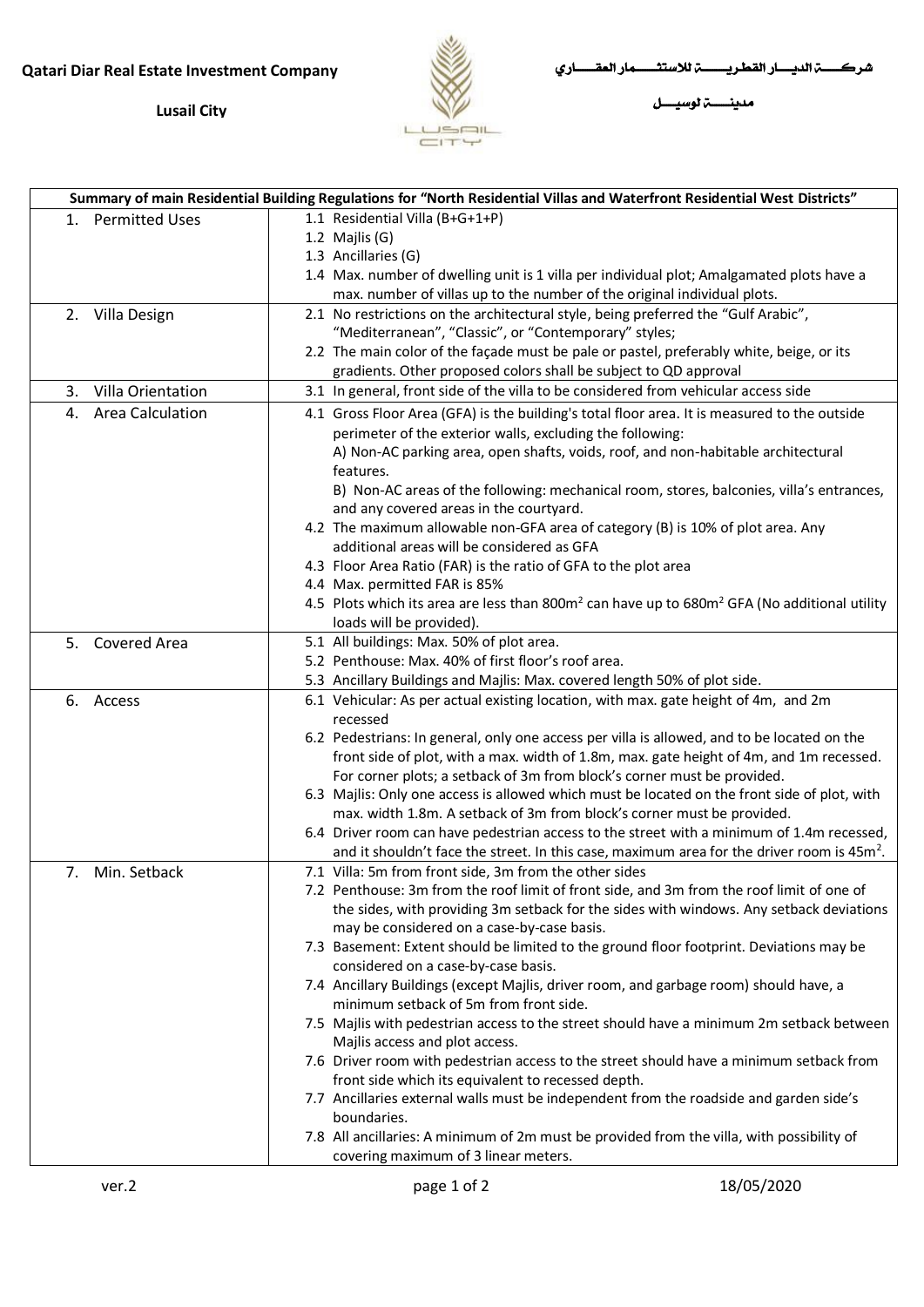## **Qatari Diar Real Estate Investment Company**

**Lusail City**



[Type here] [Type here] شركـــــــــــة الديــــــــار القطـريــــــــــــــة لالستثــــــــــــمار العقـــــــــــاري

مدينــــــــــة لوسيــــــــل

| Summary of main Residential Building Regulations for "North Residential Villas and Waterfront Residential West Districts" |                         |  |                                                                                                                                                                  |
|---------------------------------------------------------------------------------------------------------------------------|-------------------------|--|------------------------------------------------------------------------------------------------------------------------------------------------------------------|
|                                                                                                                           | 1. Permitted Uses       |  | 1.1 Residential Villa (B+G+1+P)                                                                                                                                  |
|                                                                                                                           |                         |  | 1.2 Majlis (G)                                                                                                                                                   |
|                                                                                                                           |                         |  | 1.3 Ancillaries (G)                                                                                                                                              |
|                                                                                                                           |                         |  | 1.4 Max. number of dwelling unit is 1 villa per individual plot; Amalgamated plots have a                                                                        |
|                                                                                                                           |                         |  | max. number of villas up to the number of the original individual plots.                                                                                         |
|                                                                                                                           | 2. Villa Design         |  | 2.1 No restrictions on the architectural style, being preferred the "Gulf Arabic",                                                                               |
|                                                                                                                           |                         |  | "Mediterranean", "Classic", or "Contemporary" styles;                                                                                                            |
|                                                                                                                           |                         |  | 2.2 The main color of the façade must be pale or pastel, preferably white, beige, or its                                                                         |
|                                                                                                                           |                         |  | gradients. Other proposed colors shall be subject to QD approval                                                                                                 |
| 3.                                                                                                                        | Villa Orientation       |  | 3.1 In general, front side of the villa to be considered from vehicular access side                                                                              |
| 4.                                                                                                                        | <b>Area Calculation</b> |  | 4.1 Gross Floor Area (GFA) is the building's total floor area. It is measured to the outside                                                                     |
|                                                                                                                           |                         |  | perimeter of the exterior walls, excluding the following:                                                                                                        |
|                                                                                                                           |                         |  | A) Non-AC parking area, open shafts, voids, roof, and non-habitable architectural                                                                                |
|                                                                                                                           |                         |  | features.                                                                                                                                                        |
|                                                                                                                           |                         |  | B) Non-AC areas of the following: mechanical room, stores, balconies, villa's entrances,                                                                         |
|                                                                                                                           |                         |  | and any covered areas in the courtyard.                                                                                                                          |
|                                                                                                                           |                         |  | 4.2 The maximum allowable non-GFA area of category (B) is 10% of plot area. Any                                                                                  |
|                                                                                                                           |                         |  | additional areas will be considered as GFA                                                                                                                       |
|                                                                                                                           |                         |  | 4.3 Floor Area Ratio (FAR) is the ratio of GFA to the plot area                                                                                                  |
|                                                                                                                           |                         |  | 4.4 Max. permitted FAR is 85%                                                                                                                                    |
|                                                                                                                           |                         |  | 4.5 Plots which its area are less than 800m <sup>2</sup> can have up to 680m <sup>2</sup> GFA (No additional utility                                             |
|                                                                                                                           |                         |  | loads will be provided).                                                                                                                                         |
|                                                                                                                           | 5. Covered Area         |  | 5.1 All buildings: Max. 50% of plot area.<br>5.2 Penthouse: Max. 40% of first floor's roof area.                                                                 |
|                                                                                                                           |                         |  |                                                                                                                                                                  |
|                                                                                                                           | 6. Access               |  | 5.3 Ancillary Buildings and Majlis: Max. covered length 50% of plot side.<br>6.1 Vehicular: As per actual existing location, with max. gate height of 4m, and 2m |
|                                                                                                                           |                         |  | recessed                                                                                                                                                         |
|                                                                                                                           |                         |  | 6.2 Pedestrians: In general, only one access per villa is allowed, and to be located on the                                                                      |
|                                                                                                                           |                         |  | front side of plot, with a max. width of 1.8m, max. gate height of 4m, and 1m recessed.                                                                          |
|                                                                                                                           |                         |  | For corner plots; a setback of 3m from block's corner must be provided.                                                                                          |
|                                                                                                                           |                         |  | 6.3 Majlis: Only one access is allowed which must be located on the front side of plot, with                                                                     |
|                                                                                                                           |                         |  | max. width 1.8m. A setback of 3m from block's corner must be provided.                                                                                           |
|                                                                                                                           |                         |  | 6.4 Driver room can have pedestrian access to the street with a minimum of 1.4m recessed,                                                                        |
|                                                                                                                           |                         |  | and it shouldn't face the street. In this case, maximum area for the driver room is 45m <sup>2</sup> .                                                           |
|                                                                                                                           | 7. Min. Setback         |  | 7.1 Villa: 5m from front side, 3m from the other sides                                                                                                           |
|                                                                                                                           |                         |  | 7.2 Penthouse: 3m from the roof limit of front side, and 3m from the roof limit of one of                                                                        |
|                                                                                                                           |                         |  | the sides, with providing 3m setback for the sides with windows. Any setback deviations                                                                          |
|                                                                                                                           |                         |  | may be considered on a case-by-case basis.                                                                                                                       |
|                                                                                                                           |                         |  | 7.3 Basement: Extent should be limited to the ground floor footprint. Deviations may be                                                                          |
|                                                                                                                           |                         |  | considered on a case-by-case basis.                                                                                                                              |
|                                                                                                                           |                         |  | 7.4 Ancillary Buildings (except Majlis, driver room, and garbage room) should have, a                                                                            |
|                                                                                                                           |                         |  | minimum setback of 5m from front side.                                                                                                                           |
|                                                                                                                           |                         |  | 7.5 Majlis with pedestrian access to the street should have a minimum 2m setback between                                                                         |
|                                                                                                                           |                         |  | Majlis access and plot access.                                                                                                                                   |
|                                                                                                                           |                         |  | 7.6 Driver room with pedestrian access to the street should have a minimum setback from                                                                          |
|                                                                                                                           |                         |  | front side which its equivalent to recessed depth.                                                                                                               |
|                                                                                                                           |                         |  | 7.7 Ancillaries external walls must be independent from the roadside and garden side's                                                                           |
|                                                                                                                           |                         |  | boundaries.                                                                                                                                                      |
|                                                                                                                           |                         |  | 7.8 All ancillaries: A minimum of 2m must be provided from the villa, with possibility of                                                                        |
|                                                                                                                           |                         |  | covering maximum of 3 linear meters.                                                                                                                             |